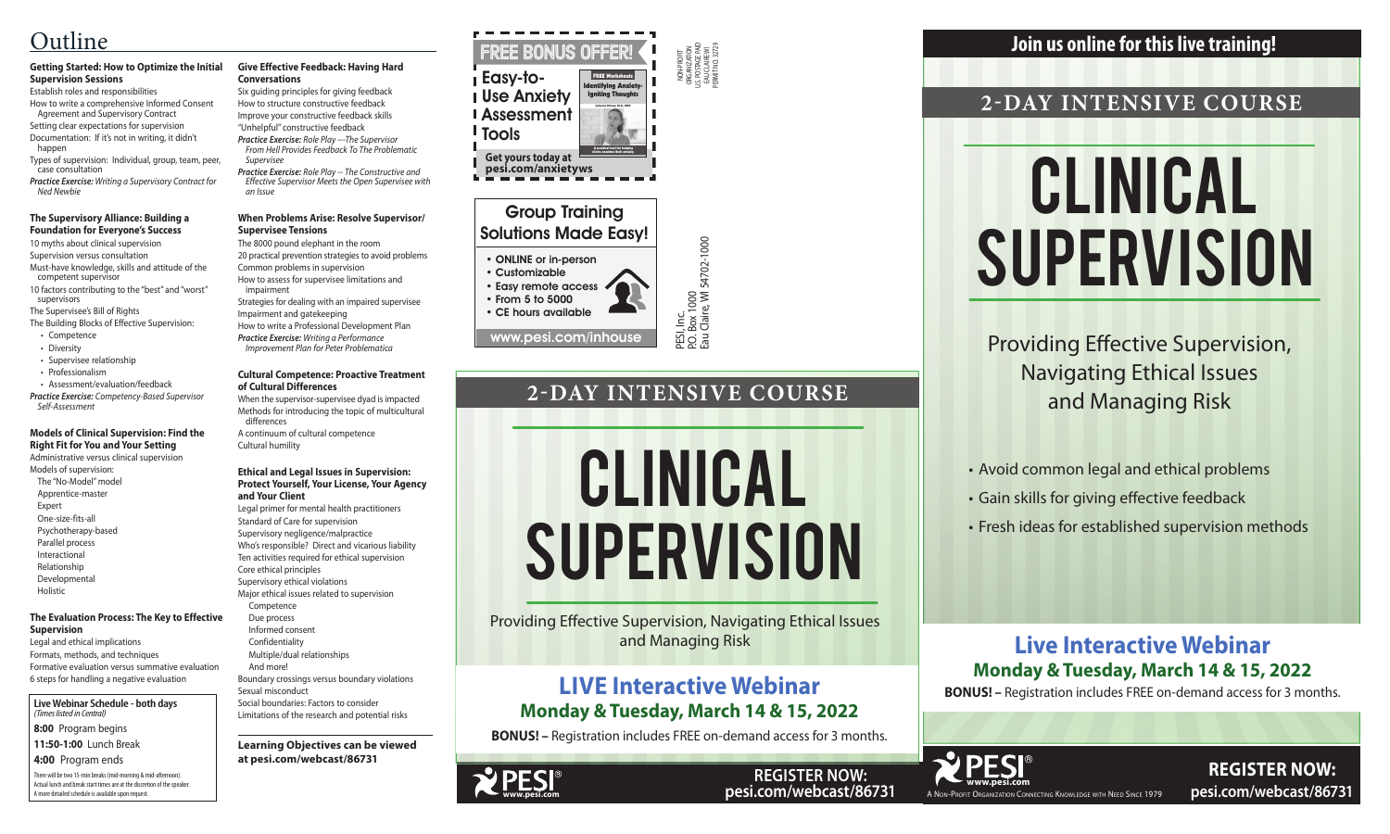

**REGISTER NOW: pesi.com/webcast/86731**

PESI, Inc.<br>P.O. Box 1000<br>Eau Claire, WI 54702-1000 P.O. Box 1000

NON-PROFIT ORGANIZATION U.S. POSTAGE PAID EAU CLAIRE WI PERMIT NO. 32729

Eau Claire, WI 54702-1000

### Group Training Solutions Made Easy!

### • ONLINE or in-person

• Customizable • Easy remote access • From 5 to 5000

• CE hours available

There will be two 15-min breaks (mid-morning & mid-afternoon). Actual lunch and break start times are at the discretion of the speaker. A more detailed schedule is available upon request.

# Clinical **SUPERVISION**



**Live Webinar Schedule - both days** *(Times listed in Central)*

**8:00** Program begins **11:50-1:00** Lunch Break

**4:00** Program ends

# Clinical **SUPERVISION**

# **2-DAY INTENSIVE COURSE**

Providing Effective Supervision, Navigating Ethical Issues and Managing Risk

FREE BONUS OFFER Easy-to-Use Anxiety Assessment **I** Tools **Get yours today at pesi.com/anxietyws** Intifying Anxi<mark>et</mark> Igniting Thoughts A practical tool for helping clients examine their anxiety. FREE Worksheets Catherine Pittman, Ph.D., HSPP

> • Avoid common legal and ethical problems • Gain skills for giving effective feedback • Fresh ideas for established supervision methods

### **Join us online for this live training!**

**REGISTER NOW: pesi.com/webcast/86731**

# **Live Interactive Webinar Monday & Tuesday, March 14 & 15, 2022**

**BONUS! –** Registration includes FREE on-demand access for 3 months.

# **2-DAY INTENSIVE COURSE**

Providing Effective Supervision, Navigating Ethical Issues and Managing Risk

### **Getting Started: How to Optimize the Initial Supervision Sessions**

Establish roles and responsibilities How to write a comprehensive Informed Consent Agreement and Supervisory Contract

Setting clear expectations for supervision Documentation: If it's not in writing, it didn't happen

Types of supervision: Individual, group, team, peer, case consultation

*Practice Exercise: Writing a Supervisory Contract for Ned Newbie*

#### **The Supervisory Alliance: Building a Foundation for Everyone's Success**

10 myths about clinical supervision

Supervision versus consultation

Must-have knowledge, skills and attitude of the competent supervisor

10 factors contributing to the "best" and "worst" supervisors

The Supervisee's Bill of Rights

- The Building Blocks of Effective Supervision:
- Competence
- Diversity
- Supervisee relationship
- Professionalism
- Assessment/evaluation/feedback

*Practice Exercise: Competency-Based Supervisor Self-Assessment*

### **Models of Clinical Supervision: Find the Right Fit for You and Your Setting**

Administrative versus clinical supervision Models of supervision: The "No-Model" model Apprentice-master

- Expert
- One-size-fits-all
- Psychotherapy-based
- Parallel process

Interactional Relationship

Developmental

Holistic

### **The Evaluation Process: The Key to Effective Supervision**

Legal and ethical implications Formats, methods, and techniques Formative evaluation versus summative evaluation 6 steps for handling a negative evaluation





### **Give Effective Feedback: Having Hard Conversations**

Six guiding principles for giving feedback How to structure constructive feedback Improve your constructive feedback skills

"Unhelpful" constructive feedback *Practice Exercise: Role Play ---The Supervisor* 

*From Hell Provides Feedback To The Problematic Supervisee*

*Practice Exercise: Role Play -- The Constructive and Effective Supervisor Meets the Open Supervisee with an Issue*

### **When Problems Arise: Resolve Supervisor/ Supervisee Tensions**

The 8000 pound elephant in the room

20 practical prevention strategies to avoid problems Common problems in supervision

How to assess for supervisee limitations and impairment

Strategies for dealing with an impaired supervisee

Impairment and gatekeeping How to write a Professional Development Plan

*Practice Exercise: Writing a Performance Improvement Plan for Peter Problematica*

### **Cultural Competence: Proactive Treatment of Cultural Differences**

When the supervisor-supervisee dyad is impacted Methods for introducing the topic of multicultural differences

A continuum of cultural competence Cultural humility

### **Ethical and Legal Issues in Supervision: Protect Yourself, Your License, Your Agency and Your Client**

Legal primer for mental health practitioners Standard of Care for supervision Supervisory negligence/malpractice Who's responsible? Direct and vicarious liability Ten activities required for ethical supervision Core ethical principles Supervisory ethical violations Major ethical issues related to supervision Competence Due process

Informed consent

 Confidentiality Multiple/dual relationships

And more!

Boundary crossings versus boundary violations Sexual misconduct Social boundaries: Factors to consider

Limitations of the research and potential risks

**Learning Objectives can be viewed at pesi.com/webcast/86731**

# Outline

# **LIVE Interactive Webinar Monday & Tuesday, March 14 & 15, 2022**

**BONUS! –** Registration includes FREE on-demand access for 3 months.